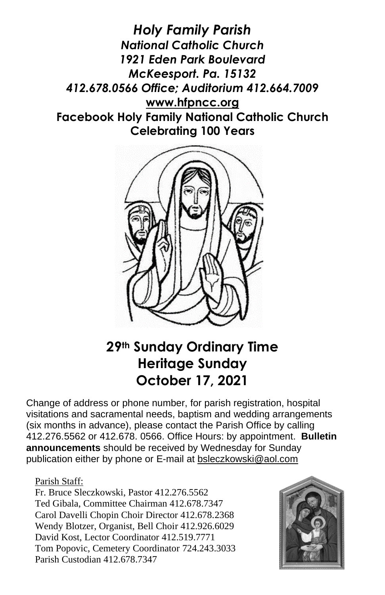*Holy Family Parish National Catholic Church 1921 Eden Park Boulevard McKeesport. Pa. 15132 412.678.0566 Office; Auditorium 412.664.7009* **[www.hfpncc.org](http://www.hfpncc.org/) Facebook Holy Family National Catholic Church Celebrating 100 Years**



# **29th Sunday Ordinary Time Heritage Sunday October 17, 2021**

Change of address or phone number, for parish registration, hospital visitations and sacramental needs, baptism and wedding arrangements (six months in advance), please contact the Parish Office by calling 412.276.5562 or 412.678. 0566. Office Hours: by appointment. **Bulletin announcements** should be received by Wednesday for Sunday publication either by phone or E-mail at [bsleczkowski@aol.com](mailto:bsleczkowski@aol.com)

#### Parish Staff:

Fr. Bruce Sleczkowski, Pastor 412.276.5562 Ted Gibala, Committee Chairman 412.678.7347 Carol Davelli Chopin Choir Director 412.678.2368 Wendy Blotzer, Organist, Bell Choir 412.926.6029 David Kost, Lector Coordinator 412.519.7771 Tom Popovic, Cemetery Coordinator 724.243.3033 Parish Custodian 412.678.7347

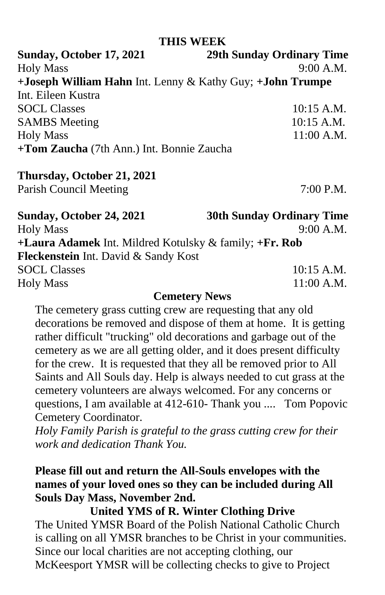#### **THIS WEEK**

**Sunday, October 17, 2021 29th Sunday Ordinary Time** Holy Mass 9:00 A.M. **+Joseph William Hahn** Int. Lenny & Kathy Guy; **+John Trumpe**  Int. Eileen Kustra SOCL Classes 10:15 A.M. SAMBS Meeting 10:15 A.M. Holy Mass 11:00 A.M. **+Tom Zaucha** (7th Ann.) Int. Bonnie Zaucha

#### **Thursday, October 21, 2021**

Parish Council Meeting 7:00 P.M.

| Sunday, October 24, 2021                               | <b>30th Sunday Ordinary Time</b> |
|--------------------------------------------------------|----------------------------------|
| <b>Holy Mass</b>                                       | 9:00 A.M.                        |
| +Laura Adamek Int. Mildred Kotulsky & family; +Fr. Rob |                                  |
| Fleckenstein Int. David & Sandy Kost                   |                                  |
| <b>SOCL Classes</b>                                    | $10:15$ A.M.                     |
| <b>Holy Mass</b>                                       | $11:00$ A.M.                     |
|                                                        |                                  |

#### **Cemetery News**

The cemetery grass cutting crew are requesting that any old decorations be removed and dispose of them at home. It is getting rather difficult "trucking" old decorations and garbage out of the cemetery as we are all getting older, and it does present difficulty for the crew. It is requested that they all be removed prior to All Saints and All Souls day. Help is always needed to cut grass at the cemetery volunteers are always welcomed. For any concerns or questions, I am available at 412-610- Thank you .... Tom Popovic Cemetery Coordinator.

*Holy Family Parish is grateful to the grass cutting crew for their work and dedication Thank You.*

### **Please fill out and return the All-Souls envelopes with the names of your loved ones so they can be included during All Souls Day Mass, November 2nd.**

**United YMS of R. Winter Clothing Drive**

The United YMSR Board of the Polish National Catholic Church is calling on all YMSR branches to be Christ in your communities. Since our local charities are not accepting clothing, our McKeesport YMSR will be collecting checks to give to Project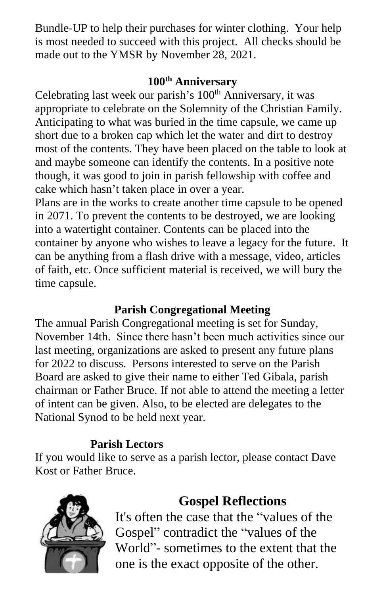Bundle-UP to help their purchases for winter clothing. Your help is most needed to succeed with this project. All checks should be made out to the YMSR by November 28, 2021.

### **100th Anniversary**

Celebrating last week our parish's 100<sup>th</sup> Anniversary, it was appropriate to celebrate on the Solemnity of the Christian Family. Anticipating to what was buried in the time capsule, we came up short due to a broken cap which let the water and dirt to destroy most of the contents. They have been placed on the table to look at and maybe someone can identify the contents. In a positive note though, it was good to join in parish fellowship with coffee and cake which hasn't taken place in over a year.

Plans are in the works to create another time capsule to be opened in 2071. To prevent the contents to be destroyed, we are looking into a watertight container. Contents can be placed into the container by anyone who wishes to leave a legacy for the future. It can be anything from a flash drive with a message, video, articles of faith, etc. Once sufficient material is received, we will bury the time capsule.

### **Parish Congregational Meeting**

The annual Parish Congregational meeting is set for Sunday, November 14th. Since there hasn't been much activities since our last meeting, organizations are asked to present any future plans for 2022 to discuss. Persons interested to serve on the Parish Board are asked to give their name to either Ted Gibala, parish chairman or Father Bruce. If not able to attend the meeting a letter of intent can be given. Also, to be elected are delegates to the National Synod to be held next year.

### **Parish Lectors**

If you would like to serve as a parish lector, please contact Dave Kost or Father Bruce.



## **Gospel Reflections**

It's often the case that the "values of the Gospel" contradict the "values of the World"- sometimes to the extent that the one is the exact opposite of the other.